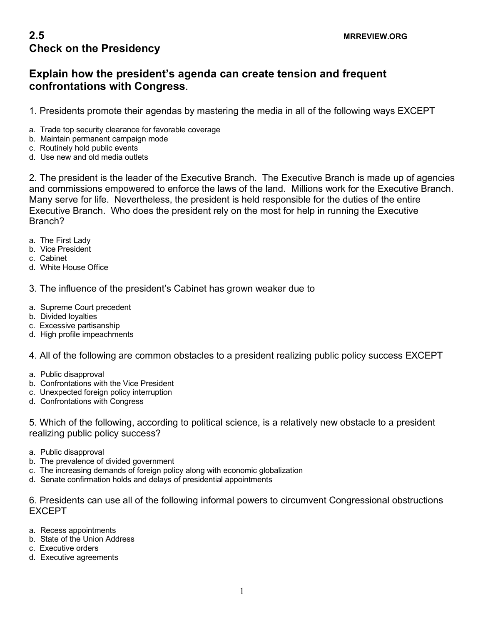## **Explain how the president's agenda can create tension and frequent confrontations with Congress**.

1. Presidents promote their agendas by mastering the media in all of the following ways EXCEPT

- a. Trade top security clearance for favorable coverage
- b. Maintain permanent campaign mode
- c. Routinely hold public events
- d. Use new and old media outlets

2. The president is the leader of the Executive Branch. The Executive Branch is made up of agencies and commissions empowered to enforce the laws of the land. Millions work for the Executive Branch. Many serve for life. Nevertheless, the president is held responsible for the duties of the entire Executive Branch. Who does the president rely on the most for help in running the Executive Branch?

- a. The First Lady
- b. Vice President
- c. Cabinet
- d. White House Office

3. The influence of the president's Cabinet has grown weaker due to

- a. Supreme Court precedent
- b. Divided loyalties
- c. Excessive partisanship
- d. High profile impeachments

4. All of the following are common obstacles to a president realizing public policy success EXCEPT

- a. Public disapproval
- b. Confrontations with the Vice President
- c. Unexpected foreign policy interruption
- d. Confrontations with Congress

5. Which of the following, according to political science, is a relatively new obstacle to a president realizing public policy success?

- a. Public disapproval
- b. The prevalence of divided government
- c. The increasing demands of foreign policy along with economic globalization
- d. Senate confirmation holds and delays of presidential appointments

6. Presidents can use all of the following informal powers to circumvent Congressional obstructions EXCEPT

- a. Recess appointments
- b. State of the Union Address
- c. Executive orders
- d. Executive agreements